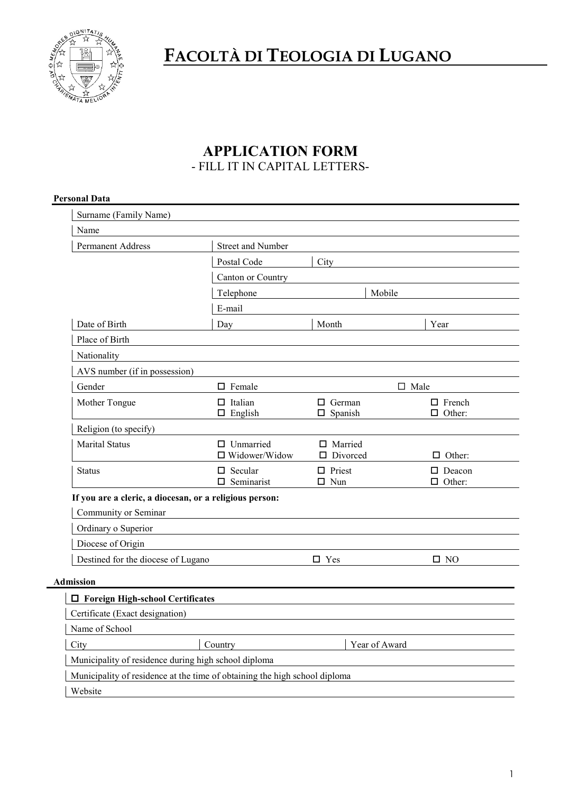

**FACOLTÀ DI TEOLOGIA DI LUGANO**

# **APPLICATION FORM** - FILL IT IN CAPITAL LETTERS-

| Surname (Family Name)                                                                                                       |                                                                            |                                    |                                |
|-----------------------------------------------------------------------------------------------------------------------------|----------------------------------------------------------------------------|------------------------------------|--------------------------------|
| Name                                                                                                                        |                                                                            |                                    |                                |
| <b>Permanent Address</b>                                                                                                    | <b>Street and Number</b>                                                   |                                    |                                |
|                                                                                                                             | Postal Code                                                                | City                               |                                |
|                                                                                                                             | Canton or Country                                                          |                                    |                                |
|                                                                                                                             | Telephone                                                                  | Mobile                             |                                |
|                                                                                                                             | E-mail                                                                     |                                    |                                |
| Date of Birth                                                                                                               | Day                                                                        | Month                              | Year                           |
| Place of Birth                                                                                                              |                                                                            |                                    |                                |
| Nationality                                                                                                                 |                                                                            |                                    |                                |
| AVS number (if in possession)                                                                                               |                                                                            |                                    |                                |
| Gender                                                                                                                      | $\square$ Female                                                           | $\square$ Male                     |                                |
| Mother Tongue                                                                                                               | $\Box$ Italian<br>$\Box$ English                                           | $\Box$ German<br>$\square$ Spanish | $\Box$ French<br>$\Box$ Other: |
| Religion (to specify)                                                                                                       |                                                                            |                                    |                                |
| <b>Marital Status</b>                                                                                                       | $\square$ Unmarried<br>□ Widower/Widow                                     | □ Married<br>$\Box$ Divorced       | $\Box$ Other:                  |
| <b>Status</b>                                                                                                               | $\Box$ Secular<br>$\square$ Seminarist                                     | $\Box$ Priest<br>$\square$ Nun     | $\Box$ Deacon<br>$\Box$ Other: |
| If you are a cleric, a diocesan, or a religious person:<br>Community or Seminar<br>Ordinary o Superior<br>Diocese of Origin |                                                                            |                                    |                                |
| Destined for the diocese of Lugano                                                                                          |                                                                            | $\square$ Yes                      | $\square$ NO                   |
|                                                                                                                             |                                                                            |                                    |                                |
| <b>Admission</b>                                                                                                            |                                                                            |                                    |                                |
|                                                                                                                             |                                                                            |                                    |                                |
|                                                                                                                             |                                                                            |                                    |                                |
| □ Foreign High-school Certificates<br>Certificate (Exact designation)<br>Name of School                                     |                                                                            |                                    |                                |
|                                                                                                                             |                                                                            |                                    |                                |
|                                                                                                                             | Country                                                                    | Year of Award                      |                                |
| City<br>Municipality of residence during high school diploma                                                                | Municipality of residence at the time of obtaining the high school diploma |                                    |                                |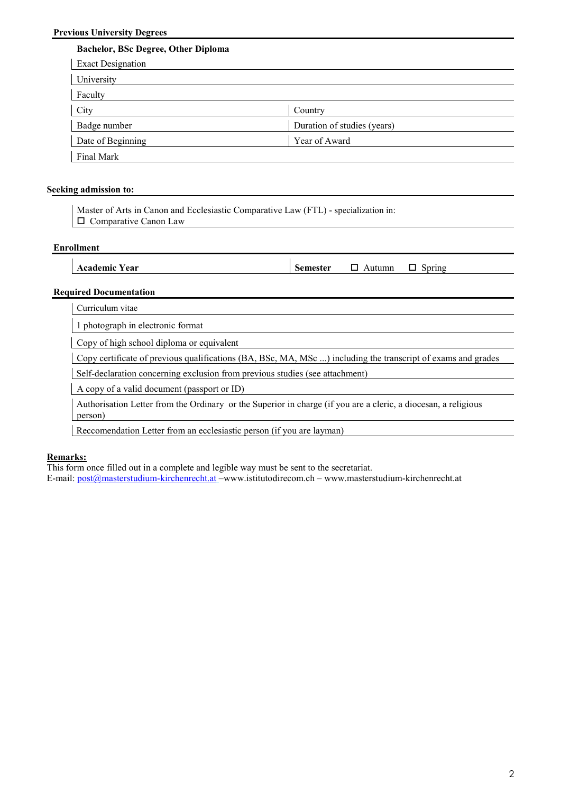# **Bachelor, BSc Degree, Other Diploma**

| <b>Exact Designation</b> |                             |
|--------------------------|-----------------------------|
| University               |                             |
| Faculty                  |                             |
| City                     | Country                     |
| Badge number             | Duration of studies (years) |
| Date of Beginning        | Year of Award               |
| Final Mark               |                             |

## **Seeking admission to:**

Master of Arts in Canon and Ecclesiastic Comparative Law (FTL) - specialization in: Comparative Canon Law

#### **Enrollment**

## **Required Documentation**

Curriculum vitae

1 photograph in electronic format

Copy of high school diploma or equivalent

Copy certificate of previous qualifications (BA, BSc, MA, MSc ...) including the transcript of exams and grades

Self-declaration concerning exclusion from previous studies (see attachment)

A copy of a valid document (passport or ID)

Authorisation Letter from the Ordinary or the Superior in charge (if you are a cleric, a diocesan, a religious person)

Reccomendation Letter from an ecclesiastic person (if you are layman)

#### **Remarks:**

This form once filled out in a complete and legible way must be sent to the secretariat.

E-mail: post@masterstudium-kirchenrecht.at –www.istitutodirecom.ch – www.masterstudium-kirchenrecht.at